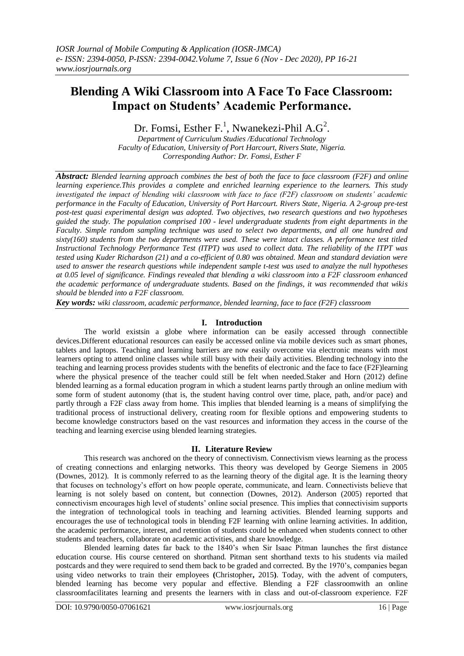# **Blending A Wiki Classroom into A Face To Face Classroom: Impact on Students' Academic Performance.**

# Dr. Fomsi, Esther F.<sup>1</sup>, Nwanekezi-Phil A.G<sup>2</sup>.

*Department of Curriculum Studies /Educational Technology Faculty of Education, University of Port Harcourt, Rivers State, Nigeria. Corresponding Author: Dr. Fomsi, Esther F*

*Abstract: Blended learning approach combines the best of both the face to face classroom (F2F) and online learning experience.This provides a complete and enriched learning experience to the learners. This study investigated the impact of blending wiki classroom with face to face (F2F) classroom on students' academic performance in the Faculty of Education, University of Port Harcourt. Rivers State, Nigeria. A 2-group pre-test post-test quasi experimental design was adopted. Two objectives, two research questions and two hypotheses guided the study. The population comprised 100 - level undergraduate students from eight departments in the Faculty. Simple random sampling technique was used to select two departments, and all one hundred and sixty(160) students from the two departments were used. These were intact classes. A performance test titled Instructional Technology Performance Test (ITPT) was used to collect data. The reliability of the ITPT was tested using Kuder Richardson (21) and a co-efficient of 0.80 was obtained. Mean and standard deviation were used to answer the research questions while independent sample t-test was used to analyze the null hypotheses at 0.05 level of significance. Findings revealed that blending a wiki classroom into a F2F classroom enhanced the academic performance of undergraduate students. Based on the findings, it was recommended that wikis should be blended into a F2F classroom.*

*Key words: wiki classroom, academic performance, blended learning, face to face (F2F) classroom*

# **I. Introduction**

The world existsin a globe where information can be easily accessed through connectible devices.Different educational resources can easily be accessed online via mobile devices such as smart phones, tablets and laptops. Teaching and learning barriers are now easily overcome via electronic means with most learners opting to attend online classes while still busy with their daily activities. Blending technology into the teaching and learning process provides students with the benefits of electronic and the face to face (F2F)learning where the physical presence of the teacher could still be felt when needed.Staker and Horn (2012) define blended learning as a formal education program in which a student learns partly through an online medium with some form of student autonomy (that is, the student having control over time, place, path, and/or pace) and partly through a F2F class away from home. This implies that blended learning is a means of simplifying the traditional process of instructional delivery, creating room for flexible options and empowering students to become knowledge constructors based on the vast resources and information they access in the course of the teaching and learning exercise using blended learning strategies.

#### **II. Literature Review**

This research was anchored on the theory of connectivism. Connectivism views learning as the process of creating connections and enlarging networks. This theory was developed by George Siemens in 2005 (Downes, 2012). It is commonly referred to as the learning theory of the digital age. It is the learning theory that focuses on technology's effort on how people operate, communicate, and learn. Connectivists believe that learning is not solely based on content, but connection (Downes, 2012). Anderson (2005) reported that connectivism encourages high level of students' online social presence. This implies that connectivisim supports the integration of technological tools in teaching and learning activities. Blended learning supports and encourages the use of technological tools in blending F2F learning with online learning activities. In addition, the academic performance, interest, and retention of students could be enhanced when students connect to other students and teachers, collaborate on academic activities, and share knowledge.

Blended learning dates far back to the 1840's when Sir Isaac Pitman launches the first distance education course. His course centered on shorthand. Pitman sent shorthand texts to his students via mailed postcards and they were required to send them back to be graded and corrected. By the 1970's, companies began using video networks to train their employees **(**Christopher**,** 2015**)**. Today, with the advent of computers, blended learning has become very popular and effective. Blending a F2F classroomwith an online classroomfacilitates learning and presents the learners with in class and out-of-classroom experience. F2F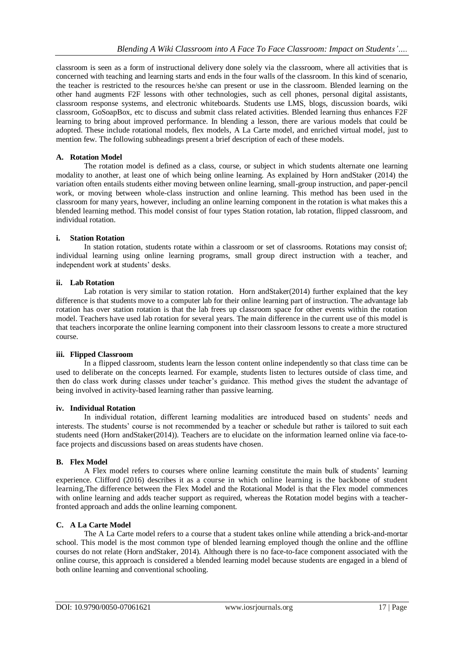classroom is seen as a form of instructional delivery done solely via the classroom, where all activities that is concerned with teaching and learning starts and ends in the four walls of the classroom. In this kind of scenario, the teacher is restricted to the resources he/she can present or use in the classroom. Blended learning on the other hand augments F2F lessons with other technologies, such as cell phones, personal digital assistants, classroom response systems, and electronic whiteboards. Students use LMS, blogs, discussion boards, wiki classroom, GoSoapBox, etc to discuss and submit class related activities. Blended learning thus enhances F2F learning to bring about improved performance. In blending a lesson, there are various models that could be adopted. These include rotational models, flex models, A La Carte model, and enriched virtual model, just to mention few. The following subheadings present a brief description of each of these models.

## **A. Rotation Model**

The rotation model is defined as a class, course, or subject in which students alternate one learning modality to another, at least one of which being online learning. As explained by Horn andStaker (2014) the variation often entails students either moving between online learning, small-group instruction, and paper-pencil work, or moving between whole-class instruction and online learning. This method has been used in the classroom for many years, however, including an online learning component in the rotation is what makes this a blended learning method. This model consist of four types Station rotation, lab rotation, flipped classroom, and individual rotation.

## **i. Station Rotation**

In station rotation, students rotate within a classroom or set of classrooms. Rotations may consist of; individual learning using online learning programs, small group direct instruction with a teacher, and independent work at students' desks.

## **ii. Lab Rotation**

Lab rotation is very similar to station rotation. Horn and Staker(2014) further explained that the key difference is that students move to a computer lab for their online learning part of instruction. The advantage lab rotation has over station rotation is that the lab frees up classroom space for other events within the rotation model. Teachers have used lab rotation for several years. The main difference in the current use of this model is that teachers incorporate the online learning component into their classroom lessons to create a more structured course.

# **iii. Flipped Classroom**

In a flipped classroom, students learn the lesson content online independently so that class time can be used to deliberate on the concepts learned. For example, students listen to lectures outside of class time, and then do class work during classes under teacher's guidance. This method gives the student the advantage of being involved in activity-based learning rather than passive learning.

## **iv. Individual Rotation**

In individual rotation, different learning modalities are introduced based on students' needs and interests. The students' course is not recommended by a teacher or schedule but rather is tailored to suit each students need (Horn andStaker(2014)). Teachers are to elucidate on the information learned online via face-toface projects and discussions based on areas students have chosen.

# **B. Flex Model**

A Flex model refers to courses where online learning constitute the main bulk of students' learning experience. Clifford (2016) describes it as a course in which online learning is the backbone of student learning,The difference between the Flex Model and the Rotational Model is that the Flex model commences with online learning and adds teacher support as required, whereas the Rotation model begins with a teacherfronted approach and adds the online learning component.

# **C. A La Carte Model**

The A La Carte model refers to a course that a student takes online while attending a brick-and-mortar school. This model is the most common type of blended learning employed though the online and the offline courses do not relate (Horn andStaker, 2014). Although there is no face-to-face component associated with the online course, this approach is considered a blended learning model because students are engaged in a blend of both online learning and conventional schooling.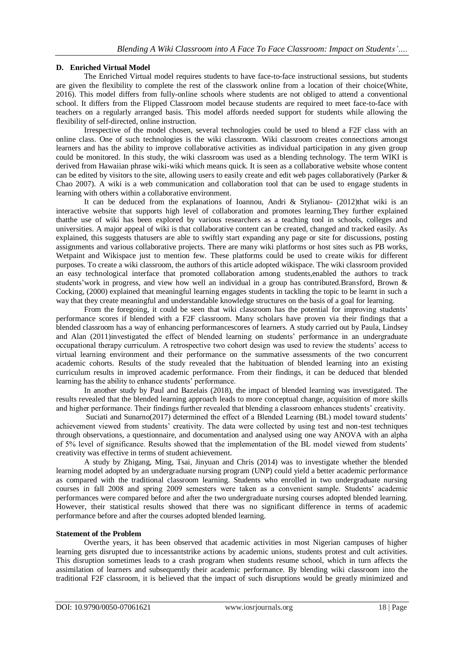## **D. Enriched Virtual Model**

The Enriched Virtual model requires students to have face-to-face instructional sessions, but students are given the flexibility to complete the rest of the classwork online from a location of their choice(White, 2016). This model differs from fully-online schools where students are not obliged to attend a conventional school. It differs from the Flipped Classroom model because students are required to meet face-to-face with teachers on a regularly arranged basis. This model affords needed support for students while allowing the flexibility of self-directed, online instruction.

Irrespective of the model chosen, several technologies could be used to blend a F2F class with an online class. One of such technologies is the wiki classroom. Wiki classroom creates connections amongst learners and has the ability to improve collaborative activities as individual participation in any given group could be monitored. In this study, the wiki classroom was used as a blending technology. The term WIKI is derived from Hawaiian phrase wiki-wiki which means quick. It is seen as a collaborative website whose content can be edited by visitors to the site, allowing users to easily create and edit web pages collaboratively (Parker & Chao 2007). A wiki is a web communication and collaboration tool that can be used to engage students in learning with others within a collaborative environment.

It can be deduced from the explanations of Ioannou, Andri & Stylianou- (2012)that wiki is an interactive website that supports high level of collaboration and promotes learning.They further explained thatthe use of wiki has been explored by various researchers as a teaching tool in schools, colleges and universities. A major appeal of wiki is that collaborative content can be created, changed and tracked easily. As explained, this suggests thatusers are able to swiftly start expanding any page or site for discussions, posting assignments and various collaborative projects. There are many wiki platforms or host sites such as PB works, Wetpaint and Wikispace just to mention few. These platforms could be used to create wikis for different purposes. To create a wiki classroom, the authors of this article adopted wikispace. The wiki classroom provided an easy technological interface that promoted collaboration among students,enabled the authors to track students'work in progress, and view how well an individual in a group has contributed.Bransford, Brown & Cocking, (2000) explained that meaningful learning engages students in tackling the topic to be learnt in such a way that they create meaningful and understandable knowledge structures on the basis of a goal for learning.

From the foregoing, it could be seen that wiki classroom has the potential for improving students' performance scores if blended with a F2F classroom. Many scholars have proven via their findings that a blended classroom has a way of enhancing performancescores of learners. A study carried out by Paula, Lindsey and Alan (2011)investigated the effect of blended learning on students' performance in an undergraduate occupational therapy curriculum. A retrospective two cohort design was used to review the students' access to virtual learning environment and their performance on the summative assessments of the two concurrent academic cohorts. Results of the study revealed that the habituation of blended learning into an existing curriculum results in improved academic performance. From their findings, it can be deduced that blended learning has the ability to enhance students' performance.

In another study by Paul and Bazelais (2018), the impact of blended learning was investigated. The results revealed that the blended learning approach leads to more conceptual change, acquisition of more skills and higher performance. Their findings further revealed that blending a classroom enhances students' creativity.

Suciati and Sunarno(2017) determined the effect of a Blended Learning (BL) model toward students' achievement viewed from students' creativity. The data were collected by using test and non-test techniques through observations, a questionnaire, and documentation and analysed using one way ANOVA with an alpha of 5% level of significance. Results showed that the implementation of the BL model viewed from students' creativity was effective in terms of student achievement.

A study by Zhigang, Ming, Tsai, Jinyuan and Chris (2014) was to investigate whether the blended learning model adopted by an undergraduate nursing program (UNP) could yield a better academic performance as compared with the traditional classroom learning. Students who enrolled in two undergraduate nursing courses in fall 2008 and spring 2009 semesters were taken as a convenient sample. Students' academic performances were compared before and after the two undergraduate nursing courses adopted blended learning. However, their statistical results showed that there was no significant difference in terms of academic performance before and after the courses adopted blended learning.

#### **Statement of the Problem**

Overthe years, it has been observed that academic activities in most Nigerian campuses of higher learning gets disrupted due to incessantstrike actions by academic unions, students protest and cult activities. This disruption sometimes leads to a crash program when students resume school, which in turn affects the assimilation of learners and subsequently their academic performance. By blending wiki classroom into the traditional F2F classroom, it is believed that the impact of such disruptions would be greatly minimized and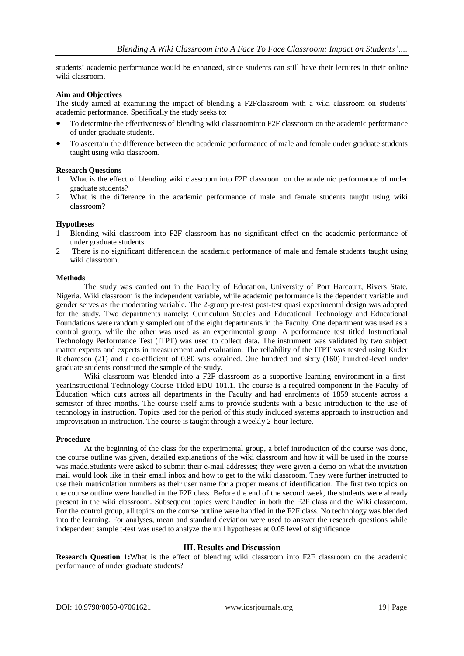students' academic performance would be enhanced, since students can still have their lectures in their online wiki classroom.

#### **Aim and Objectives**

The study aimed at examining the impact of blending a F2Fclassroom with a wiki classroom on students' academic performance. Specifically the study seeks to:

- To determine the effectiveness of blending wiki classroominto F2F classroom on the academic performance of under graduate students.
- To ascertain the difference between the academic performance of male and female under graduate students taught using wiki classroom.

#### **Research Questions**

- 1 What is the effect of blending wiki classroom into F2F classroom on the academic performance of under graduate students?
- 2 What is the difference in the academic performance of male and female students taught using wiki classroom?

#### **Hypotheses**

- 1 Blending wiki classroom into F2F classroom has no significant effect on the academic performance of under graduate students
- 2 There is no significant differencein the academic performance of male and female students taught using wiki classroom.

#### **Methods**

The study was carried out in the Faculty of Education, University of Port Harcourt, Rivers State, Nigeria. Wiki classroom is the independent variable, while academic performance is the dependent variable and gender serves as the moderating variable. The 2-group pre-test post-test quasi experimental design was adopted for the study. Two departments namely: Curriculum Studies and Educational Technology and Educational Foundations were randomly sampled out of the eight departments in the Faculty. One department was used as a control group, while the other was used as an experimental group. A performance test titled Instructional Technology Performance Test (ITPT) was used to collect data. The instrument was validated by two subject matter experts and experts in measurement and evaluation. The reliability of the ITPT was tested using Kuder Richardson (21) and a co-efficient of 0.80 was obtained. One hundred and sixty (160) hundred-level under graduate students constituted the sample of the study.

Wiki classroom was blended into a F2F classroom as a supportive learning environment in a firstyearInstructional Technology Course Titled EDU 101.1. The course is a required component in the Faculty of Education which cuts across all departments in the Faculty and had enrolments of 1859 students across a semester of three months. The course itself aims to provide students with a basic introduction to the use of technology in instruction. Topics used for the period of this study included systems approach to instruction and improvisation in instruction. The course is taught through a weekly 2-hour lecture.

#### **Procedure**

At the beginning of the class for the experimental group, a brief introduction of the course was done, the course outline was given, detailed explanations of the wiki classroom and how it will be used in the course was made.Students were asked to submit their e-mail addresses; they were given a demo on what the invitation mail would look like in their email inbox and how to get to the wiki classroom. They were further instructed to use their matriculation numbers as their user name for a proper means of identification. The first two topics on the course outline were handled in the F2F class. Before the end of the second week, the students were already present in the wiki classroom. Subsequent topics were handled in both the F2F class and the Wiki classroom. For the control group, all topics on the course outline were handled in the F2F class. No technology was blended into the learning. For analyses, mean and standard deviation were used to answer the research questions while independent sample t-test was used to analyze the null hypotheses at 0.05 level of significance

#### **III. Results and Discussion**

**Research Question 1:**What is the effect of blending wiki classroom into F2F classroom on the academic performance of under graduate students?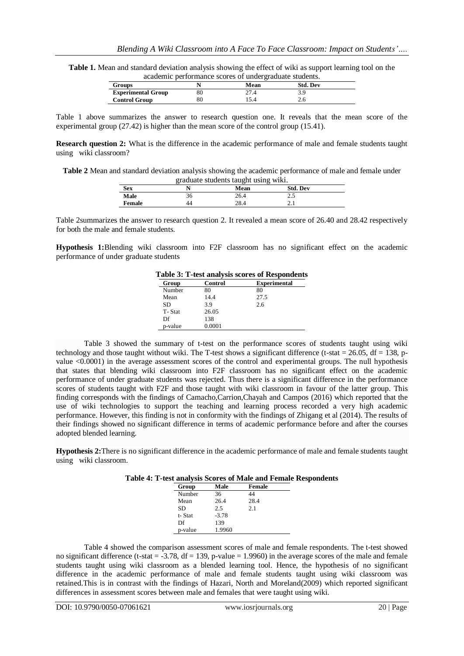**Table 1.** Mean and standard deviation analysis showing the effect of wiki as support learning tool on the academic performance scores of undergraduate students.

| <b>Groups</b>             | Mean | <b>Std. Dev</b> |  |
|---------------------------|------|-----------------|--|
| <b>Experimental Group</b> | 27.4 |                 |  |
| <b>Control Group</b>      |      |                 |  |
|                           |      |                 |  |

Table 1 above summarizes the answer to research question one. It reveals that the mean score of the experimental group (27.42) is higher than the mean score of the control group (15.41).

**Research question 2:** What is the difference in the academic performance of male and female students taught using wiki classroom?

**Table 2** Mean and standard deviation analysis showing the academic performance of male and female under graduate students taught using wiki.

|               | $\sim$ |      | .               |  |
|---------------|--------|------|-----------------|--|
| <b>Sex</b>    |        | Mean | <b>Std. Dev</b> |  |
| Male          | 36     | 26.4 | ر . ے           |  |
| <b>Female</b> | 44     | 28.4 | 2. L            |  |

Table 2summarizes the answer to research question 2. It revealed a mean score of 26.40 and 28.42 respectively for both the male and female students.

**Hypothesis 1:**Blending wiki classroom into F2F classroom has no significant effect on the academic performance of under graduate students

| Table 3: T-test analysis scores of Respondents |         |                     |  |
|------------------------------------------------|---------|---------------------|--|
| Group                                          | Control | <b>Experimental</b> |  |
| Number                                         | 80      | 80                  |  |
| Mean                                           | 14.4    | 27.5                |  |
| SD.                                            | 3.9     | 2.6                 |  |
| T-Stat                                         | 26.05   |                     |  |
| Df                                             | 138     |                     |  |
| p-value                                        | 0.0001  |                     |  |

**Table 3: T-test analysis scores of Respondents**

Table 3 showed the summary of t-test on the performance scores of students taught using wiki technology and those taught without wiki. The T-test shows a significant difference (t-stat  $= 26.05$ , df  $= 138$ , pvalue <0.0001) in the average assessment scores of the control and experimental groups. The null hypothesis that states that blending wiki classroom into F2F classroom has no significant effect on the academic performance of under graduate students was rejected. Thus there is a significant difference in the performance scores of students taught with F2F and those taught with wiki classroom in favour of the latter group. This finding corresponds with the findings of Camacho,Carrion,Chayah and Campos (2016) which reported that the use of wiki technologies to support the teaching and learning process recorded a very high academic performance. However, this finding is not in conformity with the findings of Zhigang et al (2014). The results of their findings showed no significant difference in terms of academic performance before and after the courses adopted blended learning.

**Hypothesis 2:**There is no significant difference in the academic performance of male and female students taught using wiki classroom.

| Table 4: T-test analysis Scores of Male and Female Respondents |  |  |  |
|----------------------------------------------------------------|--|--|--|
|----------------------------------------------------------------|--|--|--|

| Group   | Male    | Female |  |
|---------|---------|--------|--|
| Number  | 36      | 44     |  |
| Mean    | 26.4    | 28.4   |  |
| SD      | 2.5     | 2.1    |  |
| t-Stat  | $-3.78$ |        |  |
| Df      | 139     |        |  |
| p-value | 1.9960  |        |  |

Table 4 showed the comparison assessment scores of male and female respondents. The t-test showed no significant difference (t-stat  $=$  -3.78, df  $=$  139, p-value  $=$  1.9960) in the average scores of the male and female students taught using wiki classroom as a blended learning tool. Hence, the hypothesis of no significant difference in the academic performance of male and female students taught using wiki classroom was retained.This is in contrast with the findings of Hazari, North and Moreland(2009) which reported significant differences in assessment scores between male and females that were taught using wiki.